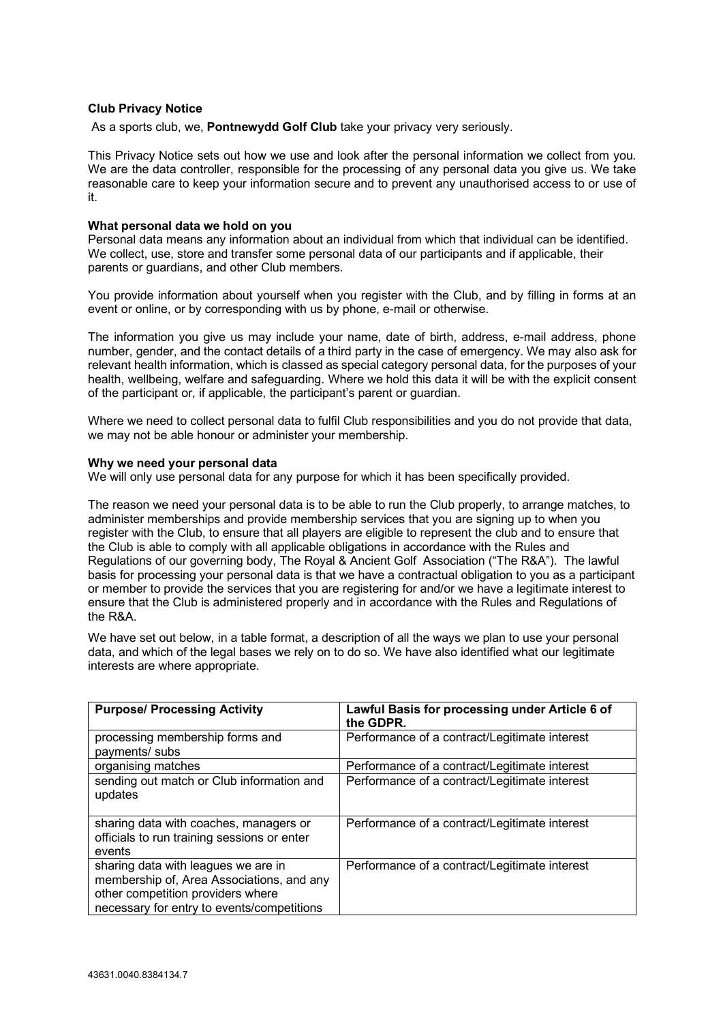# **Club Privacy Notice**

As a sports club, we, **Pontnewydd Golf Club** take your privacy very seriously.

This Privacy Notice sets out how we use and look after the personal information we collect from you. We are the data controller, responsible for the processing of any personal data you give us. We take reasonable care to keep your information secure and to prevent any unauthorised access to or use of it.

## **What personal data we hold on you**

Personal data means any information about an individual from which that individual can be identified. We collect, use, store and transfer some personal data of our participants and if applicable, their parents or guardians, and other Club members.

You provide information about yourself when you register with the Club, and by filling in forms at an event or online, or by corresponding with us by phone, e-mail or otherwise.

The information you give us may include your name, date of birth, address, e-mail address, phone number, gender, and the contact details of a third party in the case of emergency. We may also ask for relevant health information, which is classed as special category personal data, for the purposes of your health, wellbeing, welfare and safeguarding. Where we hold this data it will be with the explicit consent of the participant or, if applicable, the participant's parent or guardian.

Where we need to collect personal data to fulfil Club responsibilities and you do not provide that data, we may not be able honour or administer your membership.

#### **Why we need your personal data**

We will only use personal data for any purpose for which it has been specifically provided.

The reason we need your personal data is to be able to run the Club properly, to arrange matches, to administer memberships and provide membership services that you are signing up to when you register with the Club, to ensure that all players are eligible to represent the club and to ensure that the Club is able to comply with all applicable obligations in accordance with the Rules and Regulations of our governing body, The Royal & Ancient Golf Association ("The R&A"). The lawful basis for processing your personal data is that we have a contractual obligation to you as a participant or member to provide the services that you are registering for and/or we have a legitimate interest to ensure that the Club is administered properly and in accordance with the Rules and Regulations of the R&A.

We have set out below, in a table format, a description of all the ways we plan to use your personal data, and which of the legal bases we rely on to do so. We have also identified what our legitimate interests are where appropriate.

| <b>Purpose/ Processing Activity</b>                                                                                                                                 | Lawful Basis for processing under Article 6 of<br>the GDPR. |
|---------------------------------------------------------------------------------------------------------------------------------------------------------------------|-------------------------------------------------------------|
| processing membership forms and<br>payments/ subs                                                                                                                   | Performance of a contract/Legitimate interest               |
| organising matches                                                                                                                                                  | Performance of a contract/Legitimate interest               |
| sending out match or Club information and<br>updates                                                                                                                | Performance of a contract/Legitimate interest               |
| sharing data with coaches, managers or<br>officials to run training sessions or enter<br>events                                                                     | Performance of a contract/Legitimate interest               |
| sharing data with leagues we are in<br>membership of, Area Associations, and any<br>other competition providers where<br>necessary for entry to events/competitions | Performance of a contract/Legitimate interest               |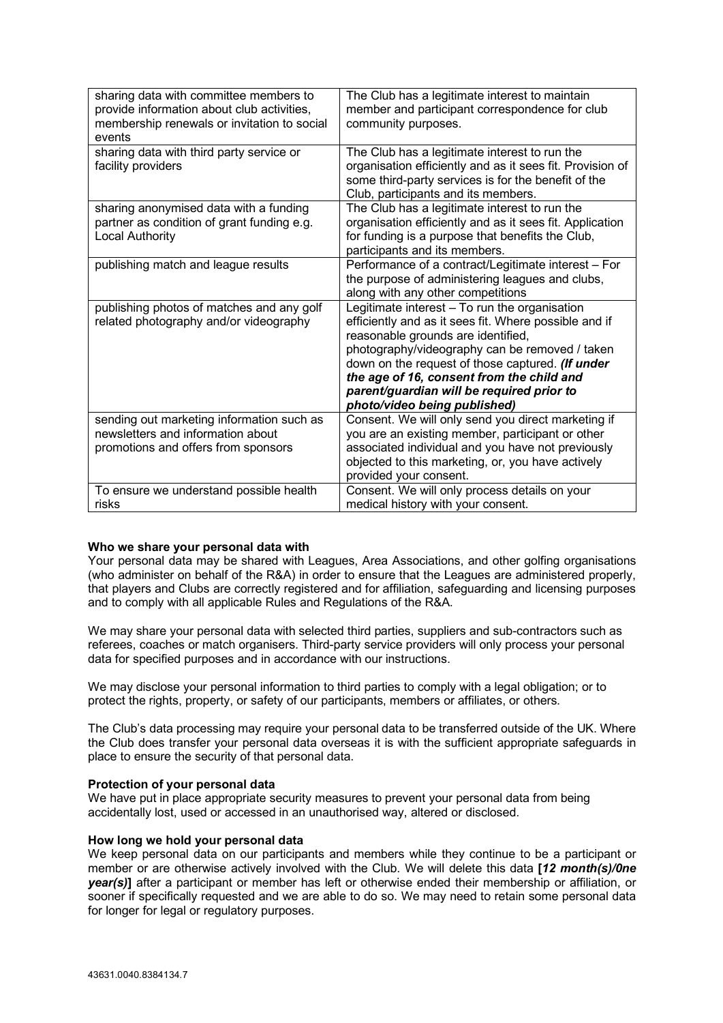| sharing data with committee members to<br>provide information about club activities,<br>membership renewals or invitation to social<br>events | The Club has a legitimate interest to maintain<br>member and participant correspondence for club<br>community purposes.                                                                                                                                                                                                                                                      |
|-----------------------------------------------------------------------------------------------------------------------------------------------|------------------------------------------------------------------------------------------------------------------------------------------------------------------------------------------------------------------------------------------------------------------------------------------------------------------------------------------------------------------------------|
| sharing data with third party service or<br>facility providers                                                                                | The Club has a legitimate interest to run the<br>organisation efficiently and as it sees fit. Provision of<br>some third-party services is for the benefit of the<br>Club, participants and its members.                                                                                                                                                                     |
| sharing anonymised data with a funding<br>partner as condition of grant funding e.g.<br><b>Local Authority</b>                                | The Club has a legitimate interest to run the<br>organisation efficiently and as it sees fit. Application<br>for funding is a purpose that benefits the Club,<br>participants and its members.                                                                                                                                                                               |
| publishing match and league results                                                                                                           | Performance of a contract/Legitimate interest - For<br>the purpose of administering leagues and clubs,<br>along with any other competitions                                                                                                                                                                                                                                  |
| publishing photos of matches and any golf<br>related photography and/or videography                                                           | Legitimate interest - To run the organisation<br>efficiently and as it sees fit. Where possible and if<br>reasonable grounds are identified,<br>photography/videography can be removed / taken<br>down on the request of those captured. (If under<br>the age of 16, consent from the child and<br>parent/guardian will be required prior to<br>photo/video being published) |
| sending out marketing information such as<br>newsletters and information about<br>promotions and offers from sponsors                         | Consent. We will only send you direct marketing if<br>you are an existing member, participant or other<br>associated individual and you have not previously<br>objected to this marketing, or, you have actively<br>provided your consent.                                                                                                                                   |
| To ensure we understand possible health<br>risks                                                                                              | Consent. We will only process details on your<br>medical history with your consent.                                                                                                                                                                                                                                                                                          |

# **Who we share your personal data with**

Your personal data may be shared with Leagues, Area Associations, and other golfing organisations (who administer on behalf of the R&A) in order to ensure that the Leagues are administered properly, that players and Clubs are correctly registered and for affiliation, safeguarding and licensing purposes and to comply with all applicable Rules and Regulations of the R&A.

We may share your personal data with selected third parties, suppliers and sub-contractors such as referees, coaches or match organisers. Third-party service providers will only process your personal data for specified purposes and in accordance with our instructions.

We may disclose your personal information to third parties to comply with a legal obligation; or to protect the rights, property, or safety of our participants, members or affiliates, or others.

The Club's data processing may require your personal data to be transferred outside of the UK. Where the Club does transfer your personal data overseas it is with the sufficient appropriate safeguards in place to ensure the security of that personal data.

#### **Protection of your personal data**

We have put in place appropriate security measures to prevent your personal data from being accidentally lost, used or accessed in an unauthorised way, altered or disclosed.

## **How long we hold your personal data**

We keep personal data on our participants and members while they continue to be a participant or member or are otherwise actively involved with the Club. We will delete this data **[***12 month(s)/0ne year(s)***]** after a participant or member has left or otherwise ended their membership or affiliation, or sooner if specifically requested and we are able to do so. We may need to retain some personal data for longer for legal or regulatory purposes.